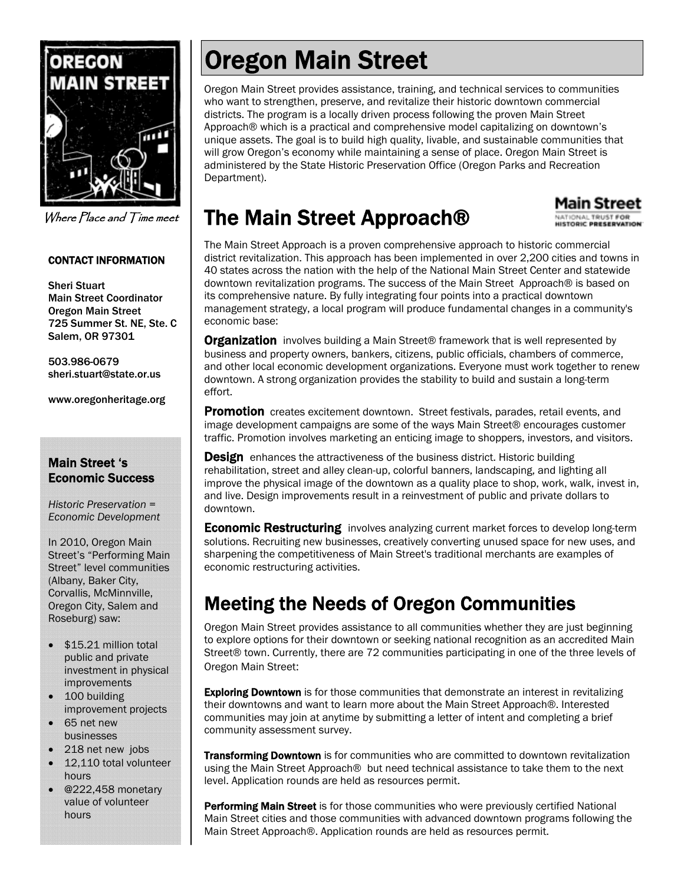

Where Place and Time meet

#### CONTACT INFORMATION

Sheri Stuart Main Street Coordinator Oregon Main Street 725 Summer St. NE, Ste. C Salem, OR 97301

503.986-0679 sheri.stuart@state.or.us

www.oregonheritage.org

#### Main Street 's Economic Success

*Historic Preservation = Economic Development* 

In 2010, Oregon Main Street's "Performing Main Street" level communities (Albany, Baker City, Corvallis, McMinnville, Oregon City, Salem and Roseburg) saw:

- \$15.21 million total public and private investment in physical improvements
- 100 building improvement projects
- 65 net new businesses
- 218 net new jobs
- 12,110 total volunteer hours
- @222,458 monetary value of volunteer hours

# Oregon Main Street

Oregon Main Street provides assistance, training, and technical services to communities who want to strengthen, preserve, and revitalize their historic downtown commercial districts. The program is a locally driven process following the proven Main Street Approach® which is a practical and comprehensive model capitalizing on downtown's unique assets. The goal is to build high quality, livable, and sustainable communities that will grow Oregon's economy while maintaining a sense of place. Oregon Main Street is administered by the State Historic Preservation Office (Oregon Parks and Recreation Department).

## The Main Street Approach®

#### The Main Street Approach is a proven comprehensive approach to historic commercial district revitalization. This approach has been implemented in over 2,200 cities and towns in 40 states across the nation with the help of the National Main Street Center and statewide downtown revitalization programs. The success of the Main Street Approach® is based on its comprehensive nature. By fully integrating four points into a practical downtown management strategy, a local program will produce fundamental changes in a community's economic base:

Main Street NATIONAL TRUST FOR<br>HISTORIC PRESERVATION

**Organization** involves building a Main Street® framework that is well represented by business and property owners, bankers, citizens, public officials, chambers of commerce, and other local economic development organizations. Everyone must work together to renew downtown. A strong organization provides the stability to build and sustain a long-term effort.

Promotion creates excitement downtown. Street festivals, parades, retail events, and image development campaigns are some of the ways Main Street® encourages customer traffic. Promotion involves marketing an enticing image to shoppers, investors, and visitors.

**Design** enhances the attractiveness of the business district. Historic building rehabilitation, street and alley clean-up, colorful banners, landscaping, and lighting all improve the physical image of the downtown as a quality place to shop, work, walk, invest in, and live. Design improvements result in a reinvestment of public and private dollars to downtown.

**Economic Restructuring** involves analyzing current market forces to develop long-term solutions. Recruiting new businesses, creatively converting unused space for new uses, and sharpening the competitiveness of Main Street's traditional merchants are examples of economic restructuring activities.

### Meeting the Needs of Oregon Communities

Oregon Main Street provides assistance to all communities whether they are just beginning to explore options for their downtown or seeking national recognition as an accredited Main Street® town. Currently, there are 72 communities participating in one of the three levels of Oregon Main Street:

**Exploring Downtown** is for those communities that demonstrate an interest in revitalizing their downtowns and want to learn more about the Main Street Approach®. Interested communities may join at anytime by submitting a letter of intent and completing a brief community assessment survey.

**Transforming Downtown** is for communities who are committed to downtown revitalization using the Main Street Approach® but need technical assistance to take them to the next level. Application rounds are held as resources permit.

Performing Main Street is for those communities who were previously certified National Main Street cities and those communities with advanced downtown programs following the Main Street Approach®. Application rounds are held as resources permit.